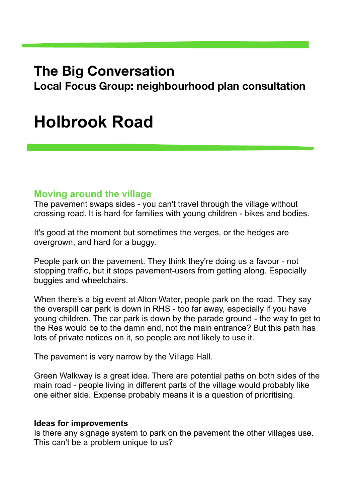## **The Big Conversation**

**Local Focus Group: neighbourhood plan consultation** 

# **Holbrook Road**

#### **Moving around the village**

The pavement swaps sides - you can't travel through the village without crossing road. It is hard for families with young children - bikes and bodies.

It's good at the moment but sometimes the verges, or the hedges are overgrown, and hard for a buggy.

People park on the pavement. They think they're doing us a favour - not stopping traffic, but it stops pavement-users from getting along. Especially buggies and wheelchairs.

When there's a big event at Alton Water, people park on the road. They say the overspill car park is down in RHS - too far away, especially if you have young children. The car park is down by the parade ground - the way to get to the Res would be to the damn end, not the main entrance? But this path has lots of private notices on it, so people are not likely to use it.

The pavement is very narrow by the Village Hall.

Green Walkway is a great idea. There are potential paths on both sides of the main road - people living in different parts of the village would probably like one either side. Expense probably means it is a question of prioritising.

#### **Ideas for improvements**

Is there any signage system to park on the pavement the other villages use. This can't be a problem unique to us?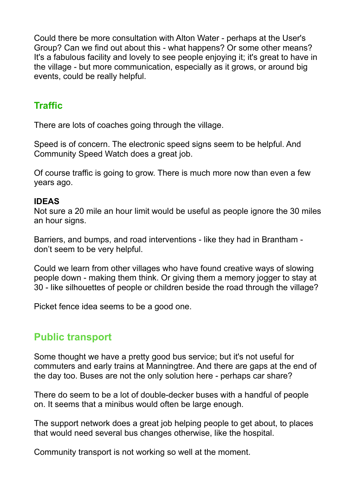Could there be more consultation with Alton Water - perhaps at the User's Group? Can we find out about this - what happens? Or some other means? It's a fabulous facility and lovely to see people enjoying it; it's great to have in the village - but more communication, especially as it grows, or around big events, could be really helpful.

### **Traffic**

There are lots of coaches going through the village.

Speed is of concern. The electronic speed signs seem to be helpful. And Community Speed Watch does a great job.

Of course traffic is going to grow. There is much more now than even a few years ago.

#### **IDEAS**

Not sure a 20 mile an hour limit would be useful as people ignore the 30 miles an hour signs.

Barriers, and bumps, and road interventions - like they had in Brantham don't seem to be very helpful.

Could we learn from other villages who have found creative ways of slowing people down - making them think. Or giving them a memory jogger to stay at 30 - like silhouettes of people or children beside the road through the village?

Picket fence idea seems to be a good one.

### **Public transport**

Some thought we have a pretty good bus service; but it's not useful for commuters and early trains at Manningtree. And there are gaps at the end of the day too. Buses are not the only solution here - perhaps car share?

There do seem to be a lot of double-decker buses with a handful of people on. It seems that a minibus would often be large enough.

The support network does a great job helping people to get about, to places that would need several bus changes otherwise, like the hospital.

Community transport is not working so well at the moment.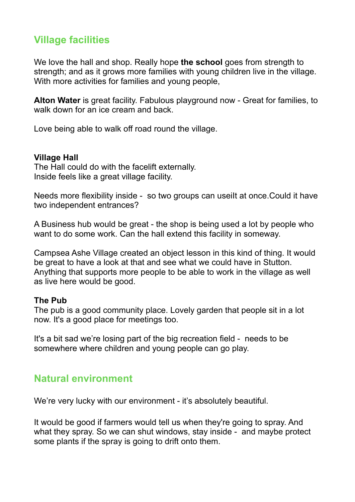### **Village facilities**

We love the hall and shop. Really hope **the school** goes from strength to strength; and as it grows more families with young children live in the village. With more activities for families and young people,

**Alton Water** is great facility. Fabulous playground now - Great for families, to walk down for an ice cream and back.

Love being able to walk off road round the village.

#### **Village Hall**

The Hall could do with the facelift externally. Inside feels like a great village facility.

Needs more flexibility inside - so two groups can useilt at once. Could it have two independent entrances?

A Business hub would be great - the shop is being used a lot by people who want to do some work. Can the hall extend this facility in someway.

Campsea Ashe Village created an object lesson in this kind of thing. It would be great to have a look at that and see what we could have in Stutton. Anything that supports more people to be able to work in the village as well as live here would be good.

#### **The Pub**

The pub is a good community place. Lovely garden that people sit in a lot now. It's a good place for meetings too.

It's a bit sad we're losing part of the big recreation field - needs to be somewhere where children and young people can go play.

#### **Natural environment**

We're very lucky with our environment - it's absolutely beautiful.

It would be good if farmers would tell us when they're going to spray. And what they spray. So we can shut windows, stay inside - and maybe protect some plants if the spray is going to drift onto them.